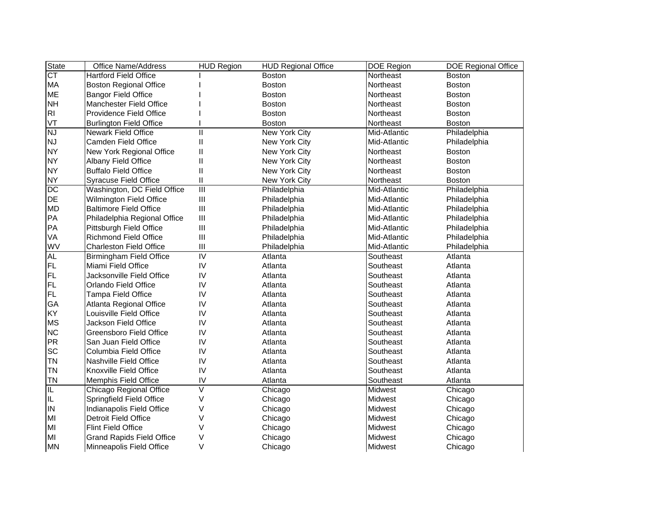| <b>State</b>                             | <b>Office Name/Address</b>       | <b>HUD Region</b>       | <b>HUD Regional Office</b> | <b>DOE Region</b> | DOE Regional Office |
|------------------------------------------|----------------------------------|-------------------------|----------------------------|-------------------|---------------------|
| $\overline{\text{CT}}$                   | <b>Hartford Field Office</b>     |                         | <b>Boston</b>              | Northeast         | <b>Boston</b>       |
| MA                                       | <b>Boston Regional Office</b>    |                         | <b>Boston</b>              | Northeast         | <b>Boston</b>       |
| <b>ME</b>                                | <b>Bangor Field Office</b>       |                         | <b>Boston</b>              | Northeast         | <b>Boston</b>       |
| <b>NH</b>                                | Manchester Field Office          |                         | <b>Boston</b>              | Northeast         | <b>Boston</b>       |
| R <sub>l</sub>                           | Providence Field Office          |                         | <b>Boston</b>              | Northeast         | <b>Boston</b>       |
| VT                                       | <b>Burlington Field Office</b>   |                         | <b>Boston</b>              | Northeast         | <b>Boston</b>       |
| $\overline{\overline{\text{N}}\text{J}}$ | <b>Newark Field Office</b>       | $\mathbf{I}$            | New York City              | Mid-Atlantic      | Philadelphia        |
| <b>NJ</b>                                | Camden Field Office              | $\mathsf{I}$            | New York City              | Mid-Atlantic      | Philadelphia        |
| <b>NY</b>                                | New York Regional Office         | $\mathsf{I}$            | New York City              | Northeast         | <b>Boston</b>       |
| <b>NY</b>                                | Albany Field Office              | $\sf II$                | New York City              | Northeast         | <b>Boston</b>       |
| <b>NY</b>                                | <b>Buffalo Field Office</b>      | Ш                       | New York City              | Northeast         | <b>Boston</b>       |
| <b>NY</b>                                | <b>Syracuse Field Office</b>     | $\sf II$                | New York City              | Northeast         | <b>Boston</b>       |
| $\overline{DC}$                          | Washington, DC Field Office      | $\overline{\mathbb{H}}$ | Philadelphia               | Mid-Atlantic      | Philadelphia        |
| DE                                       | Wilmington Field Office          | $\mathsf{III}$          | Philadelphia               | Mid-Atlantic      | Philadelphia        |
| <b>MD</b>                                | <b>Baltimore Field Office</b>    | $\mathsf{III}$          | Philadelphia               | Mid-Atlantic      | Philadelphia        |
| PA                                       | Philadelphia Regional Office     | Ш                       | Philadelphia               | Mid-Atlantic      | Philadelphia        |
| PA                                       | Pittsburgh Field Office          | $\mathsf{III}$          | Philadelphia               | Mid-Atlantic      | Philadelphia        |
| VA                                       | <b>Richmond Field Office</b>     | $\mathsf{III}$          | Philadelphia               | Mid-Atlantic      | Philadelphia        |
| WV                                       | <b>Charleston Field Office</b>   | Ш                       | Philadelphia               | Mid-Atlantic      | Philadelphia        |
| <b>AL</b>                                | <b>Birmingham Field Office</b>   | $\overline{N}$          | Atlanta                    | Southeast         | Atlanta             |
| FL.                                      | Miami Field Office               | IV                      | Atlanta                    | Southeast         | Atlanta             |
| FL.                                      | Jacksonville Field Office        | IV                      | Atlanta                    | Southeast         | Atlanta             |
| FL.                                      | Orlando Field Office             | IV                      | Atlanta                    | Southeast         | Atlanta             |
| <b>FL</b>                                | Tampa Field Office               | IV                      | Atlanta                    | Southeast         | Atlanta             |
| GA                                       | Atlanta Regional Office          | IV                      | Atlanta                    | Southeast         | Atlanta             |
| KY                                       | Louisville Field Office          | IV                      | Atlanta                    | Southeast         | Atlanta             |
| <b>MS</b>                                | Jackson Field Office             | IV                      | Atlanta                    | Southeast         | Atlanta             |
| <b>NC</b>                                | Greensboro Field Office          | IV                      | Atlanta                    | Southeast         | Atlanta             |
| <b>PR</b>                                | San Juan Field Office            | IV                      | Atlanta                    | Southeast         | Atlanta             |
| SC                                       | Columbia Field Office            | IV                      | Atlanta                    | Southeast         | Atlanta             |
| <b>TN</b>                                | Nashville Field Office           | IV                      | Atlanta                    | Southeast         | Atlanta             |
| <b>TN</b>                                | Knoxville Field Office           | IV                      | Atlanta                    | Southeast         | Atlanta             |
| <b>TN</b>                                | Memphis Field Office             | IV                      | Atlanta                    | Southeast         | Atlanta             |
| IL.                                      | Chicago Regional Office          | V                       | Chicago                    | Midwest           | Chicago             |
| IL                                       | Springfield Field Office         | $\vee$                  | Chicago                    | Midwest           | Chicago             |
| IN                                       | Indianapolis Field Office        | V                       | Chicago                    | Midwest           | Chicago             |
| MI                                       | Detroit Field Office             | $\vee$                  | Chicago                    | Midwest           | Chicago             |
| MI                                       | Flint Field Office               | V                       | Chicago                    | Midwest           | Chicago             |
| MI                                       | <b>Grand Rapids Field Office</b> | V                       | Chicago                    | Midwest           | Chicago             |
| <b>MN</b>                                | Minneapolis Field Office         | $\vee$                  | Chicago                    | Midwest           | Chicago             |